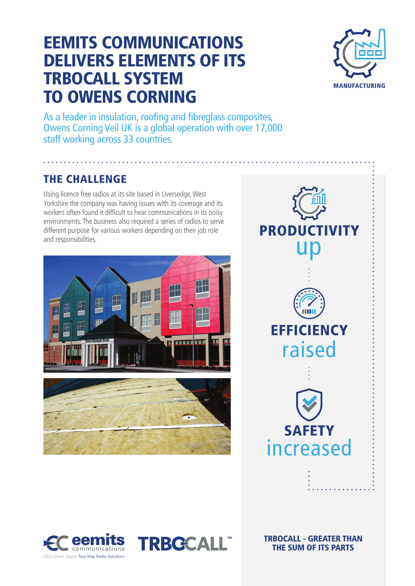## EEMITS COMMUNICATIONS DELIVERS ELEMENTS OF ITS TRBOCALL SYSTEM TO OWENS CORNING



As a leader in insulation, roofing and fibreglass composites, Owens Corning Veil UK is a global operation with over 17,000 staff working across 33 countries.

#### THE CHALLENGE

Using licence free radios at its site based in Liversedge, West Yorkshire the company was having issues with its coverage and its workers often found it difficult to hear communications in its noisy environments. The business also required a series of radios to serve different purpose for various workers depending on their job role and responsibilities.









TRBOCALL - GREATER THAN THE SUM OF ITS PARTS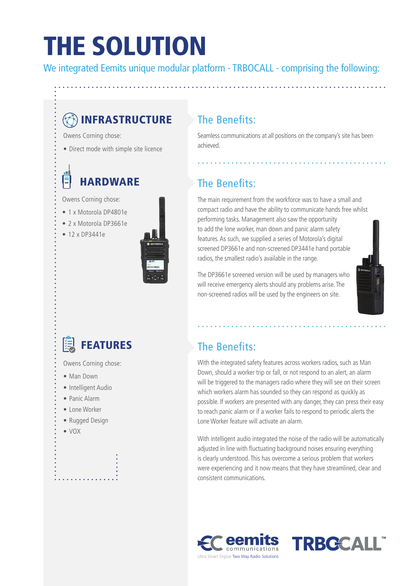# THE SOLUTION

We integrated Eemits unique modular platform - TRBOCALL - comprising the following:

### **B**INFRASTRUCTURE

Owens Corning chose:

• Direct mode with simple site licence

## **HARDWARE**

Owens Corning chose:

- 1 x Motorola DP4801e
- 2 x Motorola DP3661e
- 12 x DP3441e



### The Benefits:

Seamless communications at all positions on the company's site has been achieved.

### The Benefits:

The main requirement from the workforce was to have a small and compact radio and have the ability to communicate hands free whilst performing tasks. Management also saw the opportunity to add the lone worker, man down and panic alarm safety features. As such, we supplied a series of Motorola's digital screened DP3661e and non-screened DP3441e hand portable radios, the smallest radio's available in the range.

The DP3661e screened version will be used by managers who will receive emergency alerts should any problems arise. The non-screened radios will be used by the engineers on site.



## FEATURES

Owens Corning chose:

- Man Down
- Intelligent Audio
- Panic Alarm
- Lone Worker
- Rugged Design
- VOX

### The Benefits:

With the integrated safety features across workers radios, such as Man Down, should a worker trip or fall, or not respond to an alert, an alarm will be triggered to the managers radio where they will see on their screen which workers alarm has sounded so they can respond as quickly as possible. If workers are presented with any danger, they can press their easy to reach panic alarm or if a worker fails to respond to periodic alerts the Lone Worker feature will activate an alarm.

With intelligent audio integrated the noise of the radio will be automatically adjusted in line with fluctuating background noises ensuring everything is clearly understood. This has overcome a serious problem that workers were experiencing and it now means that they have streamlined, clear and consistent communications.



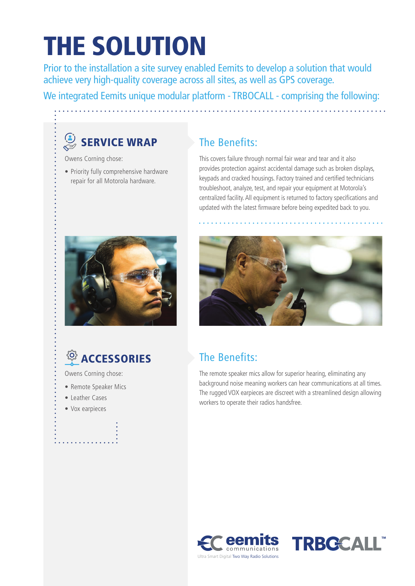# THE SOLUTION

Prior to the installation a site survey enabled Eemits to develop a solution that would achieve very high-quality coverage across all sites, as well as GPS coverage.

We integrated Eemits unique modular platform - TRBOCALL - comprising the following:

## $\overset{(*)}{\approx}$  SERVICE WRAP

Owens Corning chose:

• Priority fully comprehensive hardware repair for all Motorola hardware.

#### The Benefits:

This covers failure through normal fair wear and tear and it also provides protection against accidental damage such as broken displays, keypads and cracked housings. Factory trained and certified technicians troubleshoot, analyze, test, and repair your equipment at Motorola's centralized facility. All equipment is returned to factory specifications and updated with the latest firmware before being expedited back to you.





Owens Corning chose:

- Remote Speaker Mics
- Leather Cases
- Vox earpieces



### The Benefits:

The remote speaker mics allow for superior hearing, eliminating any background noise meaning workers can hear communications at all times. The rugged VOX earpieces are discreet with a streamlined design allowing workers to operate their radios handsfree.